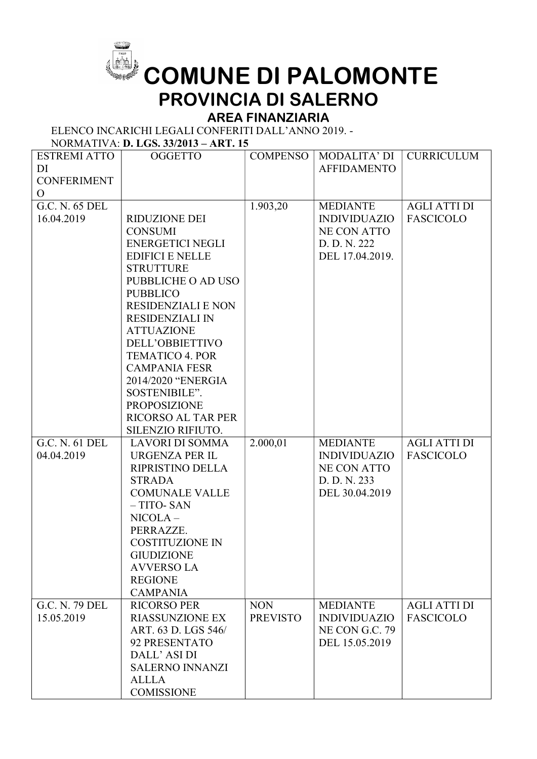

## COMUNE DI PALOMONTE PROVINCIA DI SALERNO

## AREA FINANZIARIA

ELENCO INCARICHI LEGALI CONFERITI DALL'ANNO 2019. -

## NORMATIVA: D. LGS. 33/2013 – ART. 15

| <b>ESTREMI ATTO</b> | <b>OGGETTO</b>            | <b>COMPENSO</b> | MODALITA' DI          | <b>CURRICULUM</b>   |
|---------------------|---------------------------|-----------------|-----------------------|---------------------|
| DI                  |                           |                 | <b>AFFIDAMENTO</b>    |                     |
| <b>CONFERIMENT</b>  |                           |                 |                       |                     |
| $\mathbf{O}$        |                           |                 |                       |                     |
| G.C. N. 65 DEL      |                           | 1.903,20        | <b>MEDIANTE</b>       | <b>AGLI ATTI DI</b> |
| 16.04.2019          | <b>RIDUZIONE DEI</b>      |                 | <b>INDIVIDUAZIO</b>   | <b>FASCICOLO</b>    |
|                     | <b>CONSUMI</b>            |                 | <b>NE CON ATTO</b>    |                     |
|                     | <b>ENERGETICI NEGLI</b>   |                 | D. D. N. 222          |                     |
|                     | <b>EDIFICI E NELLE</b>    |                 | DEL 17.04.2019.       |                     |
|                     | <b>STRUTTURE</b>          |                 |                       |                     |
|                     | PUBBLICHE O AD USO        |                 |                       |                     |
|                     | <b>PUBBLICO</b>           |                 |                       |                     |
|                     | <b>RESIDENZIALI E NON</b> |                 |                       |                     |
|                     | <b>RESIDENZIALI IN</b>    |                 |                       |                     |
|                     | <b>ATTUAZIONE</b>         |                 |                       |                     |
|                     | DELL'OBBIETTIVO           |                 |                       |                     |
|                     | <b>TEMATICO 4. POR</b>    |                 |                       |                     |
|                     | <b>CAMPANIA FESR</b>      |                 |                       |                     |
|                     | 2014/2020 "ENERGIA        |                 |                       |                     |
|                     | SOSTENIBILE".             |                 |                       |                     |
|                     | <b>PROPOSIZIONE</b>       |                 |                       |                     |
|                     | <b>RICORSO AL TAR PER</b> |                 |                       |                     |
|                     | SILENZIO RIFIUTO.         |                 |                       |                     |
| G.C. N. 61 DEL      | <b>LAVORI DI SOMMA</b>    | 2.000,01        | <b>MEDIANTE</b>       | <b>AGLI ATTI DI</b> |
| 04.04.2019          | <b>URGENZA PER IL</b>     |                 | <b>INDIVIDUAZIO</b>   | <b>FASCICOLO</b>    |
|                     | RIPRISTINO DELLA          |                 | <b>NE CON ATTO</b>    |                     |
|                     | <b>STRADA</b>             |                 | D. D. N. 233          |                     |
|                     | <b>COMUNALE VALLE</b>     |                 | DEL 30.04.2019        |                     |
|                     | $-$ TITO-SAN              |                 |                       |                     |
|                     | $NICOLA-$                 |                 |                       |                     |
|                     | PERRAZZE.                 |                 |                       |                     |
|                     | <b>COSTITUZIONE IN</b>    |                 |                       |                     |
|                     | <b>GIUDIZIONE</b>         |                 |                       |                     |
|                     | <b>AVVERSO LA</b>         |                 |                       |                     |
|                     | <b>REGIONE</b>            |                 |                       |                     |
|                     | <b>CAMPANIA</b>           |                 |                       |                     |
| G.C. N. 79 DEL      | <b>RICORSO PER</b>        | <b>NON</b>      | <b>MEDIANTE</b>       | <b>AGLI ATTI DI</b> |
| 15.05.2019          | <b>RIASSUNZIONE EX</b>    | <b>PREVISTO</b> | <b>INDIVIDUAZIO</b>   | <b>FASCICOLO</b>    |
|                     | ART. 63 D. LGS 546/       |                 | <b>NE CON G.C. 79</b> |                     |
|                     | 92 PRESENTATO             |                 | DEL 15.05.2019        |                     |
|                     | DALL' ASI DI              |                 |                       |                     |
|                     | <b>SALERNO INNANZI</b>    |                 |                       |                     |
|                     | <b>ALLLA</b>              |                 |                       |                     |
|                     | <b>COMISSIONE</b>         |                 |                       |                     |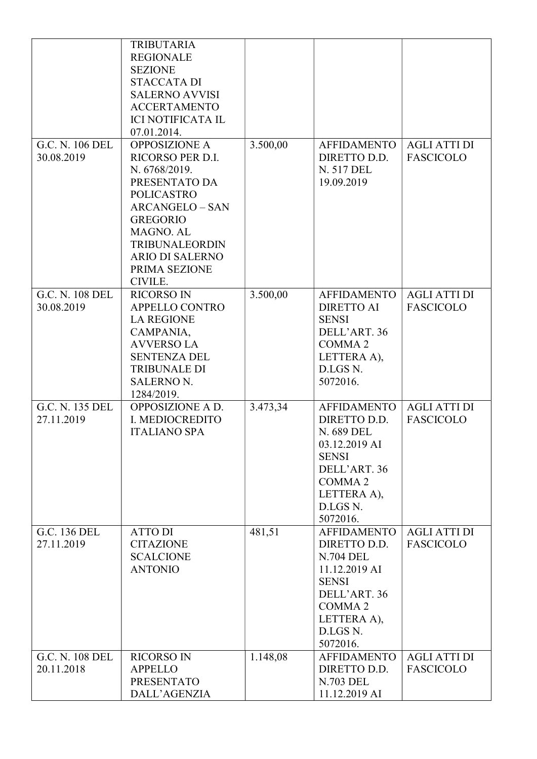|                 | <b>TRIBUTARIA</b><br><b>REGIONALE</b> |          |                                |                     |
|-----------------|---------------------------------------|----------|--------------------------------|---------------------|
|                 | <b>SEZIONE</b>                        |          |                                |                     |
|                 | <b>STACCATA DI</b>                    |          |                                |                     |
|                 | <b>SALERNO AVVISI</b>                 |          |                                |                     |
|                 | <b>ACCERTAMENTO</b>                   |          |                                |                     |
|                 | <b>ICI NOTIFICATA IL</b>              |          |                                |                     |
|                 | 07.01.2014.                           |          |                                |                     |
| G.C. N. 106 DEL | <b>OPPOSIZIONE A</b>                  | 3.500,00 | <b>AFFIDAMENTO</b>             | <b>AGLI ATTI DI</b> |
| 30.08.2019      | RICORSO PER D.I.                      |          | DIRETTO D.D.                   | <b>FASCICOLO</b>    |
|                 | N. 6768/2019.                         |          | N. 517 DEL                     |                     |
|                 | PRESENTATO DA                         |          | 19.09.2019                     |                     |
|                 | <b>POLICASTRO</b>                     |          |                                |                     |
|                 | <b>ARCANGELO - SAN</b>                |          |                                |                     |
|                 | <b>GREGORIO</b>                       |          |                                |                     |
|                 | MAGNO. AL                             |          |                                |                     |
|                 | <b>TRIBUNALEORDIN</b>                 |          |                                |                     |
|                 | <b>ARIO DI SALERNO</b>                |          |                                |                     |
|                 | PRIMA SEZIONE                         |          |                                |                     |
|                 | CIVILE.                               |          |                                |                     |
| G.C. N. 108 DEL | <b>RICORSO IN</b>                     | 3.500,00 | <b>AFFIDAMENTO</b>             | <b>AGLI ATTI DI</b> |
| 30.08.2019      | APPELLO CONTRO                        |          | <b>DIRETTO AI</b>              | <b>FASCICOLO</b>    |
|                 | <b>LA REGIONE</b>                     |          | <b>SENSI</b>                   |                     |
|                 | CAMPANIA,                             |          | DELL'ART. 36                   |                     |
|                 | <b>AVVERSO LA</b>                     |          | COMMA <sub>2</sub>             |                     |
|                 | <b>SENTENZA DEL</b>                   |          | LETTERA A),                    |                     |
|                 | <b>TRIBUNALE DI</b>                   |          | D.LGS N.<br>5072016.           |                     |
|                 | <b>SALERNO N.</b><br>1284/2019.       |          |                                |                     |
| G.C. N. 135 DEL | OPPOSIZIONE A D.                      | 3.473,34 | <b>AFFIDAMENTO</b>             | <b>AGLI ATTI DI</b> |
| 27.11.2019      | I. MEDIOCREDITO                       |          | DIRETTO D.D.                   | <b>FASCICOLO</b>    |
|                 | <b>ITALIANO SPA</b>                   |          | N. 689 DEL                     |                     |
|                 |                                       |          | 03.12.2019 AI                  |                     |
|                 |                                       |          | <b>SENSI</b>                   |                     |
|                 |                                       |          | DELL'ART. 36                   |                     |
|                 |                                       |          | COMMA <sub>2</sub>             |                     |
|                 |                                       |          | LETTERA A),                    |                     |
|                 |                                       |          | D.LGS N.                       |                     |
|                 |                                       |          | 5072016.                       |                     |
| G.C. 136 DEL    | <b>ATTO DI</b>                        | 481,51   | <b>AFFIDAMENTO</b>             | <b>AGLI ATTI DI</b> |
| 27.11.2019      | <b>CITAZIONE</b>                      |          | DIRETTO D.D.                   | <b>FASCICOLO</b>    |
|                 | <b>SCALCIONE</b>                      |          | <b>N.704 DEL</b>               |                     |
|                 | <b>ANTONIO</b>                        |          | 11.12.2019 AI                  |                     |
|                 |                                       |          | <b>SENSI</b>                   |                     |
|                 |                                       |          | DELL'ART. 36                   |                     |
|                 |                                       |          | COMMA <sub>2</sub>             |                     |
|                 |                                       |          | LETTERA A),                    |                     |
|                 |                                       |          | D.LGS N.                       |                     |
| G.C. N. 108 DEL | <b>RICORSO IN</b>                     | 1.148,08 | 5072016.<br><b>AFFIDAMENTO</b> | <b>AGLI ATTI DI</b> |
| 20.11.2018      | <b>APPELLO</b>                        |          | DIRETTO D.D.                   | <b>FASCICOLO</b>    |
|                 | <b>PRESENTATO</b>                     |          | <b>N.703 DEL</b>               |                     |
|                 | DALL'AGENZIA                          |          | 11.12.2019 AI                  |                     |
|                 |                                       |          |                                |                     |